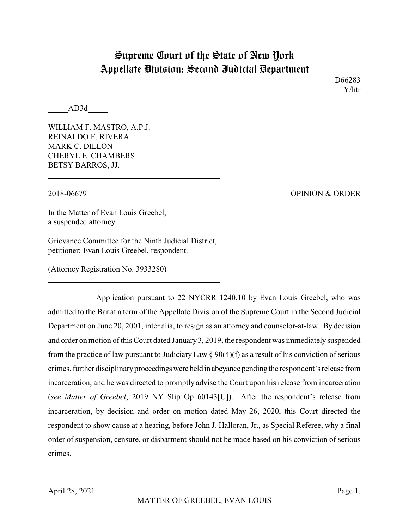## Supreme Court of the State of New York Appellate Division: Second Judicial Department

D66283 Y/htr

AD3d

WILLIAM F. MASTRO, A.P.J. REINALDO E. RIVERA MARK C. DILLON CHERYL E. CHAMBERS BETSY BARROS, JJ.

2018-06679 OPINION & ORDER

In the Matter of Evan Louis Greebel, a suspended attorney.

Grievance Committee for the Ninth Judicial District, petitioner; Evan Louis Greebel, respondent.

(Attorney Registration No. 3933280)

Application pursuant to 22 NYCRR 1240.10 by Evan Louis Greebel, who was admitted to the Bar at a term of the Appellate Division of the Supreme Court in the Second Judicial Department on June 20, 2001, inter alia, to resign as an attorney and counselor-at-law. By decision and order on motion of this Court dated January3, 2019, the respondent was immediately suspended from the practice of law pursuant to Judiciary Law  $\S 90(4)$  (f) as a result of his conviction of serious crimes, further disciplinary proceedings were held in abeyance pending the respondent's release from incarceration, and he was directed to promptly advise the Court upon his release from incarceration (*see Matter of Greebel*, 2019 NY Slip Op 60143[U]). After the respondent's release from incarceration, by decision and order on motion dated May 26, 2020, this Court directed the respondent to show cause at a hearing, before John J. Halloran, Jr., as Special Referee, why a final order of suspension, censure, or disbarment should not be made based on his conviction of serious crimes.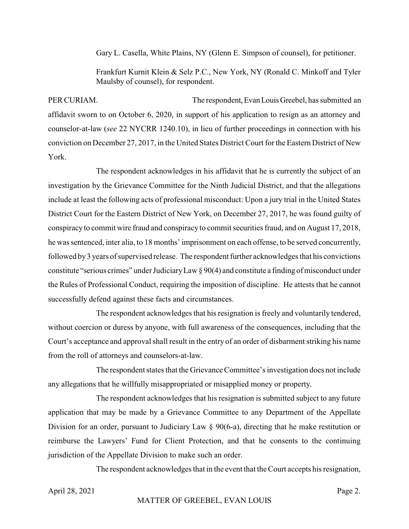Gary L. Casella, White Plains, NY (Glenn E. Simpson of counsel), for petitioner.

Frankfurt Kurnit Klein & Selz P.C., New York, NY (Ronald C. Minkoff and Tyler Maulsby of counsel), for respondent.

PER CURIAM. The respondent,EvanLouisGreebel, has submitted an affidavit sworn to on October 6, 2020, in support of his application to resign as an attorney and counselor-at-law (*see* 22 NYCRR 1240.10), in lieu of further proceedings in connection with his conviction on December 27, 2017, in the United States District Court for the Eastern District of New York.

The respondent acknowledges in his affidavit that he is currently the subject of an investigation by the Grievance Committee for the Ninth Judicial District, and that the allegations include at least the following acts of professional misconduct: Upon a jury trial in the United States District Court for the Eastern District of New York, on December 27, 2017, he was found guilty of conspiracyto commit wire fraud and conspiracy to commit securities fraud, and on August 17, 2018, he was sentenced, inter alia, to 18 months' imprisonment on each offense, to be served concurrently, followed by 3 years of supervised release. The respondent further acknowledges that his convictions constitute "serious crimes" under JudiciaryLaw § 90(4) and constitute a finding of misconduct under the Rules of Professional Conduct, requiring the imposition of discipline. He attests that he cannot successfully defend against these facts and circumstances.

The respondent acknowledges that his resignation is freely and voluntarily tendered, without coercion or duress by anyone, with full awareness of the consequences, including that the Court's acceptance and approval shall result in the entry of an order of disbarment striking his name from the roll of attorneys and counselors-at-law.

The respondent states that the Grievance Committee's investigation does not include any allegations that he willfully misappropriated or misapplied money or property.

The respondent acknowledges that his resignation is submitted subject to any future application that may be made by a Grievance Committee to any Department of the Appellate Division for an order, pursuant to Judiciary Law § 90(6-a), directing that he make restitution or reimburse the Lawyers' Fund for Client Protection, and that he consents to the continuing jurisdiction of the Appellate Division to make such an order.

The respondent acknowledges that in the event that the Court accepts his resignation,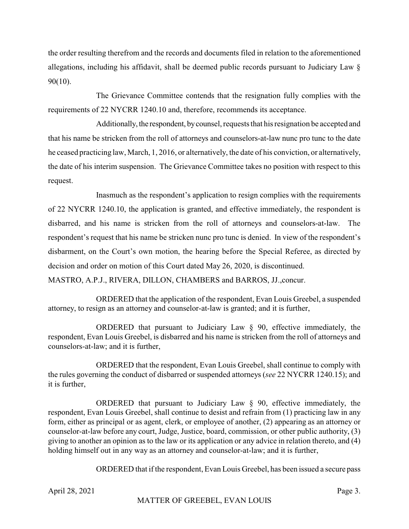the order resulting therefrom and the records and documents filed in relation to the aforementioned allegations, including his affidavit, shall be deemed public records pursuant to Judiciary Law § 90(10).

The Grievance Committee contends that the resignation fully complies with the requirements of 22 NYCRR 1240.10 and, therefore, recommends its acceptance.

Additionally, the respondent, by counsel, requests that his resignation be accepted and that his name be stricken from the roll of attorneys and counselors-at-law nunc pro tunc to the date he ceased practicing law, March, 1, 2016, or alternatively, the date of his conviction, or alternatively, the date of his interim suspension. The Grievance Committee takes no position with respect to this request.

Inasmuch as the respondent's application to resign complies with the requirements of 22 NYCRR 1240.10, the application is granted, and effective immediately, the respondent is disbarred, and his name is stricken from the roll of attorneys and counselors-at-law. The respondent's request that his name be stricken nunc pro tunc is denied. In view of the respondent's disbarment, on the Court's own motion, the hearing before the Special Referee, as directed by decision and order on motion of this Court dated May 26, 2020, is discontinued.

MASTRO, A.P.J., RIVERA, DILLON, CHAMBERS and BARROS, JJ.,concur.

ORDERED that the application of the respondent, Evan Louis Greebel, a suspended attorney, to resign as an attorney and counselor-at-law is granted; and it is further,

ORDERED that pursuant to Judiciary Law § 90, effective immediately, the respondent, Evan Louis Greebel, is disbarred and his name is stricken from the roll of attorneys and counselors-at-law; and it is further,

ORDERED that the respondent, Evan Louis Greebel, shall continue to comply with the rules governing the conduct of disbarred or suspended attorneys (*see* 22 NYCRR 1240.15); and it is further,

ORDERED that pursuant to Judiciary Law  $\S$  90, effective immediately, the respondent, Evan Louis Greebel, shall continue to desist and refrain from (1) practicing law in any form, either as principal or as agent, clerk, or employee of another, (2) appearing as an attorney or counselor-at-law before any court, Judge, Justice, board, commission, or other public authority, (3) giving to another an opinion as to the law or its application or any advice in relation thereto, and (4) holding himself out in any way as an attorney and counselor-at-law; and it is further,

ORDERED that if the respondent, Evan Louis Greebel, has been issued a secure pass